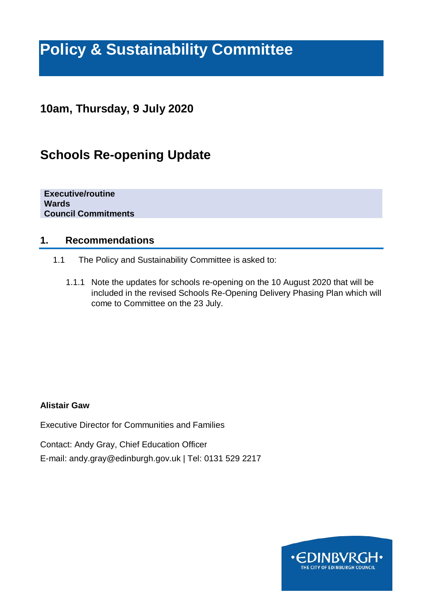# **Policy & Sustainability Committee**

### **10am, Thursday, 9 July 2020**

## **Schools Re-opening Update**

**Executive/routine Wards Council Commitments**

#### **1. Recommendations**

- 1.1 The Policy and Sustainability Committee is asked to:
	- 1.1.1 Note the updates for schools re-opening on the 10 August 2020 that will be included in the revised Schools Re-Opening Delivery Phasing Plan which will come to Committee on the 23 July.

#### **Alistair Gaw**

Executive Director for Communities and Families

Contact: Andy Gray, Chief Education Officer

E-mail: andy.gray@edinburgh.gov.uk | Tel: 0131 529 2217

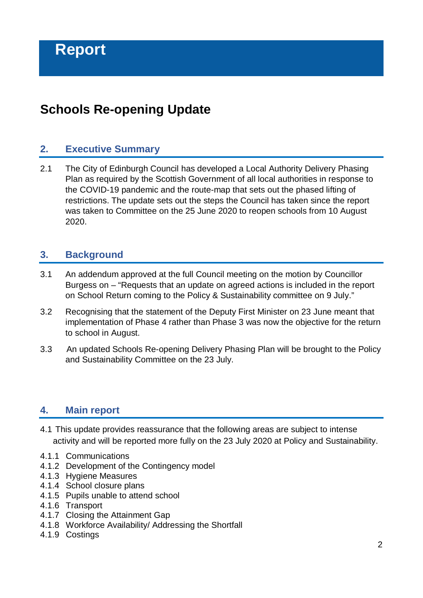# **Schools Re-opening Update**

#### **2. Executive Summary**

2.1 The City of Edinburgh Council has developed a Local Authority Delivery Phasing Plan as required by the Scottish Government of all local authorities in response to the COVID-19 pandemic and the route-map that sets out the phased lifting of restrictions. The update sets out the steps the Council has taken since the report was taken to Committee on the 25 June 2020 to reopen schools from 10 August 2020.

#### **3. Background**

- 3.1 An addendum approved at the full Council meeting on the motion by Councillor Burgess on – "Requests that an update on agreed actions is included in the report on School Return coming to the Policy & Sustainability committee on 9 July."
- 3.2 Recognising that the statement of the Deputy First Minister on 23 June meant that implementation of Phase 4 rather than Phase 3 was now the objective for the return to school in August.
- 3.3 An updated Schools Re-opening Delivery Phasing Plan will be brought to the Policy and Sustainability Committee on the 23 July.

#### **4. Main report**

- 4.1 This update provides reassurance that the following areas are subject to intense activity and will be reported more fully on the 23 July 2020 at Policy and Sustainability.
- 4.1.1 Communications
- 4.1.2 Development of the Contingency model
- 4.1.3 Hygiene Measures
- 4.1.4 School closure plans
- 4.1.5 Pupils unable to attend school
- 4.1.6 Transport
- 4.1.7 Closing the Attainment Gap
- 4.1.8 Workforce Availability/ Addressing the Shortfall
- 4.1.9 Costings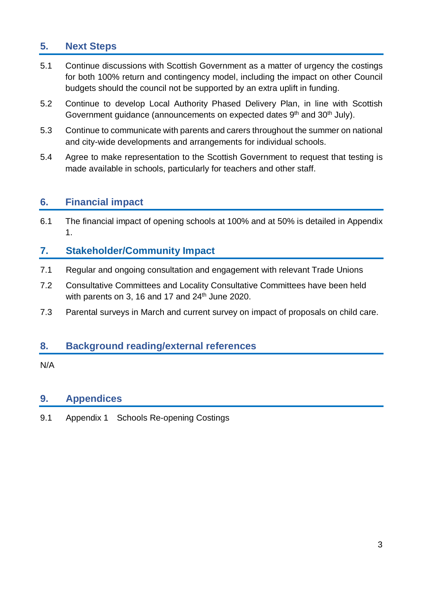### **5. Next Steps**

- 5.1 Continue discussions with Scottish Government as a matter of urgency the costings for both 100% return and contingency model, including the impact on other Council budgets should the council not be supported by an extra uplift in funding.
- 5.2 Continue to develop Local Authority Phased Delivery Plan, in line with Scottish Government quidance (announcements on expected dates 9<sup>th</sup> and 30<sup>th</sup> July).
- 5.3 Continue to communicate with parents and carers throughout the summer on national and city-wide developments and arrangements for individual schools.
- 5.4 Agree to make representation to the Scottish Government to request that testing is made available in schools, particularly for teachers and other staff.

#### **6. Financial impact**

6.1 The financial impact of opening schools at 100% and at 50% is detailed in Appendix 1.

### **7. Stakeholder/Community Impact**

- 7.1 Regular and ongoing consultation and engagement with relevant Trade Unions
- 7.2 Consultative Committees and Locality Consultative Committees have been held with parents on 3, 16 and 17 and  $24<sup>th</sup>$  June 2020.
- 7.3 Parental surveys in March and current survey on impact of proposals on child care.

#### **8. Background reading/external references**

N/A

#### **9. Appendices**

9.1 Appendix 1 Schools Re-opening Costings